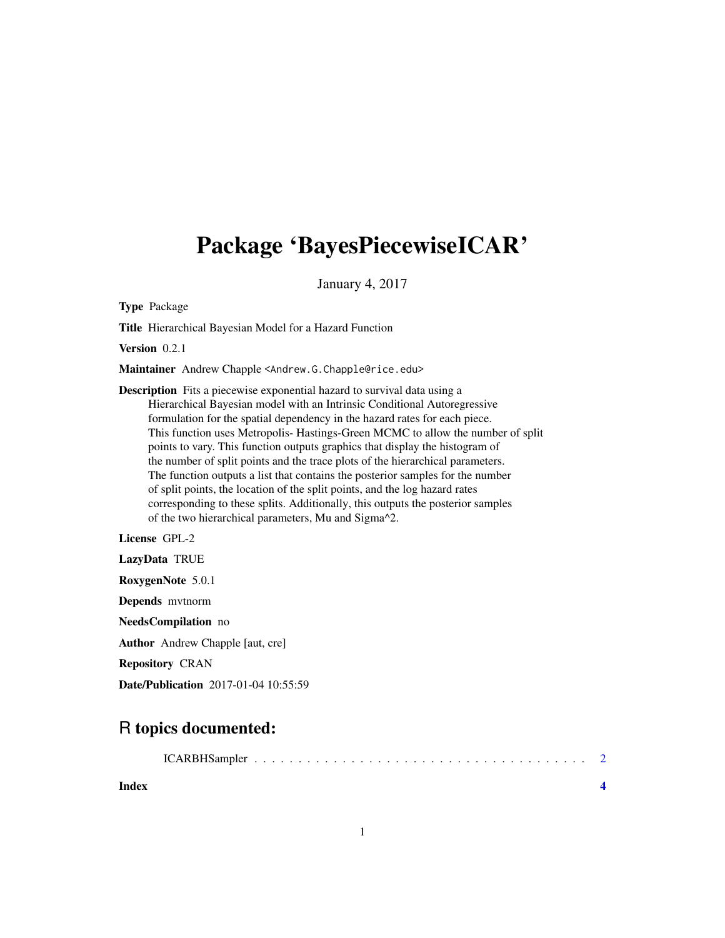## Package 'BayesPiecewiseICAR'

January 4, 2017

Type Package

Title Hierarchical Bayesian Model for a Hazard Function

Version 0.2.1

Maintainer Andrew Chapple <Andrew.G.Chapple@rice.edu>

Description Fits a piecewise exponential hazard to survival data using a Hierarchical Bayesian model with an Intrinsic Conditional Autoregressive formulation for the spatial dependency in the hazard rates for each piece. This function uses Metropolis- Hastings-Green MCMC to allow the number of split points to vary. This function outputs graphics that display the histogram of the number of split points and the trace plots of the hierarchical parameters. The function outputs a list that contains the posterior samples for the number of split points, the location of the split points, and the log hazard rates corresponding to these splits. Additionally, this outputs the posterior samples of the two hierarchical parameters, Mu and Sigma^2.

License GPL-2

LazyData TRUE RoxygenNote 5.0.1 Depends mvtnorm NeedsCompilation no Author Andrew Chapple [aut, cre] Repository CRAN Date/Publication 2017-01-04 10:55:59

### R topics documented:

|--|--|--|--|--|--|

**Index** [4](#page-3-0)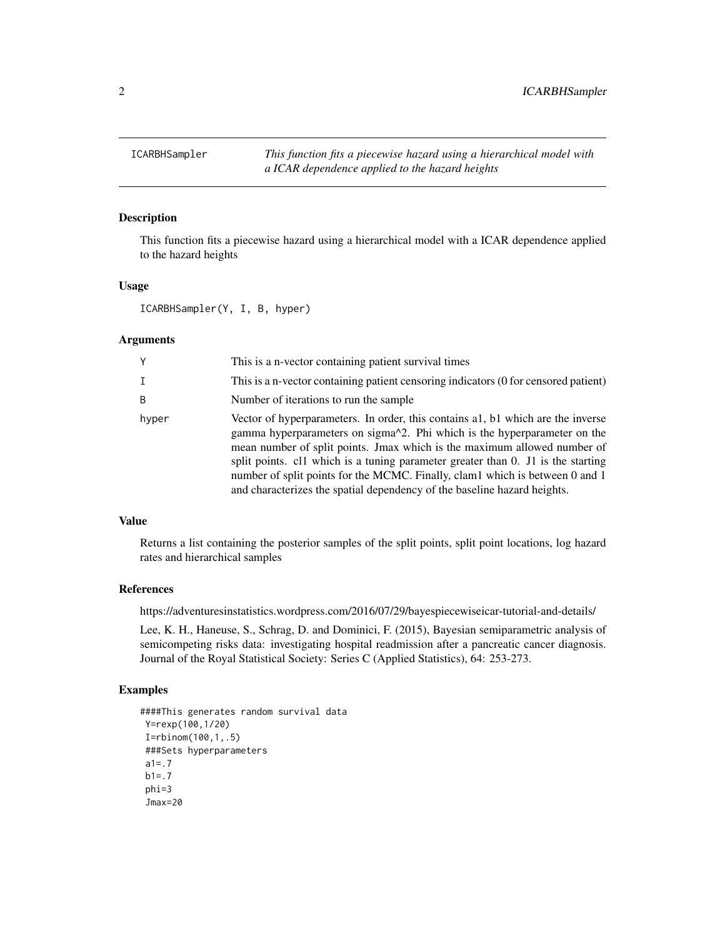<span id="page-1-0"></span>ICARBHSampler *This function fits a piecewise hazard using a hierarchical model with a ICAR dependence applied to the hazard heights*

#### Description

This function fits a piecewise hazard using a hierarchical model with a ICAR dependence applied to the hazard heights

#### Usage

ICARBHSampler(Y, I, B, hyper)

#### Arguments

| Y     | This is a n-vector containing patient survival times                                                                                                                                                                                                                                                                                                                                                                                                                                                                    |
|-------|-------------------------------------------------------------------------------------------------------------------------------------------------------------------------------------------------------------------------------------------------------------------------------------------------------------------------------------------------------------------------------------------------------------------------------------------------------------------------------------------------------------------------|
| I     | This is a n-vector containing patient censoring indicators (0 for censored patient)                                                                                                                                                                                                                                                                                                                                                                                                                                     |
| B     | Number of iterations to run the sample.                                                                                                                                                                                                                                                                                                                                                                                                                                                                                 |
| hyper | Vector of hyperparameters. In order, this contains al, bl which are the inverse<br>gamma hyperparameters on sigma <sup><math>\lambda</math>2</sup> . Phi which is the hyperparameter on the<br>mean number of split points. Jmax which is the maximum allowed number of<br>split points. cl1 which is a tuning parameter greater than 0. J1 is the starting<br>number of split points for the MCMC. Finally, clam1 which is between 0 and 1<br>and characterizes the spatial dependency of the baseline hazard heights. |

#### Value

Returns a list containing the posterior samples of the split points, split point locations, log hazard rates and hierarchical samples

#### References

https://adventuresinstatistics.wordpress.com/2016/07/29/bayespiecewiseicar-tutorial-and-details/

Lee, K. H., Haneuse, S., Schrag, D. and Dominici, F. (2015), Bayesian semiparametric analysis of semicompeting risks data: investigating hospital readmission after a pancreatic cancer diagnosis. Journal of the Royal Statistical Society: Series C (Applied Statistics), 64: 253-273.

#### Examples

```
####This generates random survival data
Y=rexp(100,1/20)
I=rbinom(100,1,.5)
###Sets hyperparameters
a1 = .7b1 = .7phi=3
 Jmax=20
```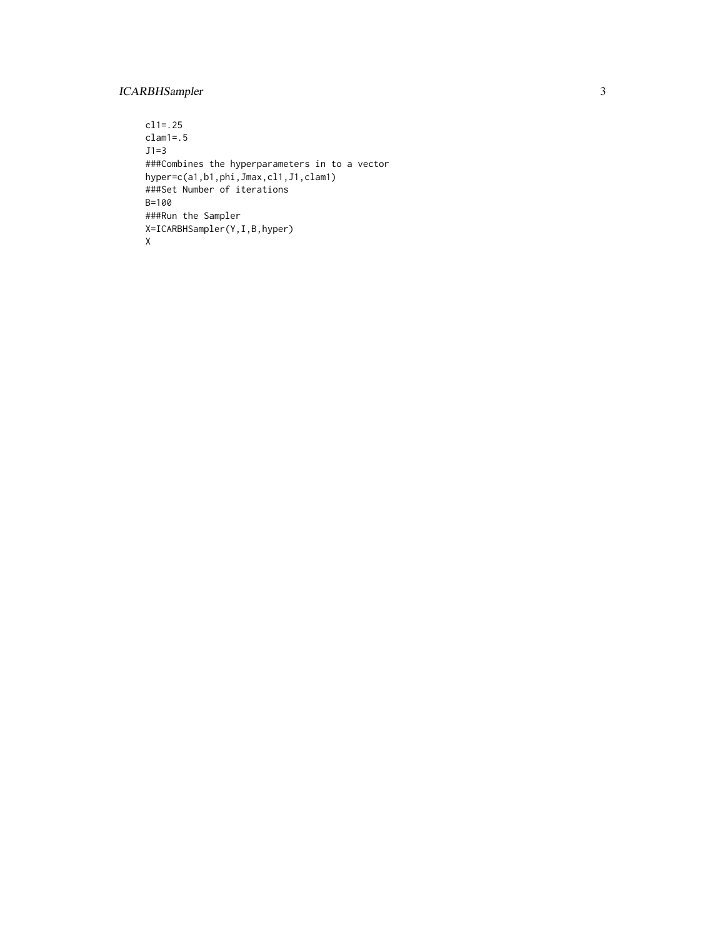#### ICARBHSampler 3

cl1=.25 clam1=.5  $J1=3$ ###Combines the hyperparameters in to a vector hyper=c(a1,b1,phi,Jmax,cl1,J1,clam1) ###Set Number of iterations B=100 ###Run the Sampler X=ICARBHSampler(Y,I,B,hyper) X